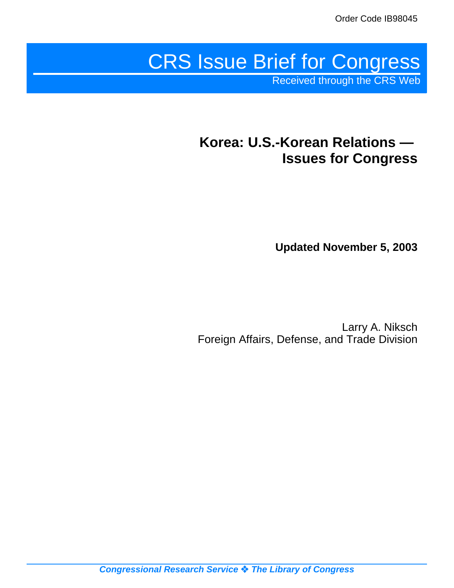# CRS Issue Brief for Congress

Received through the CRS Web

# **Korea: U.S.-Korean Relations — Issues for Congress**

**Updated November 5, 2003**

Larry A. Niksch Foreign Affairs, Defense, and Trade Division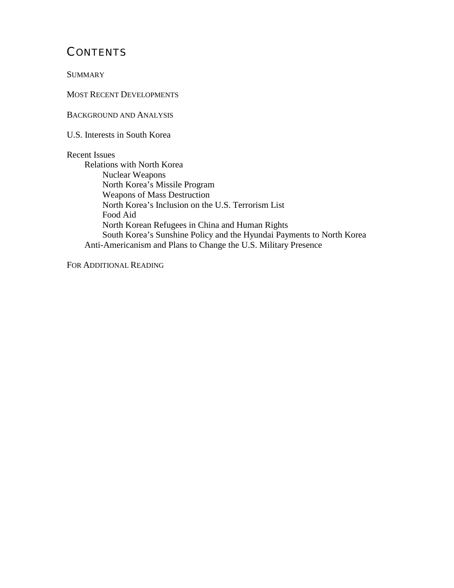# **CONTENTS**

**SUMMARY** 

MOST RECENT DEVELOPMENTS

BACKGROUND AND ANALYSIS

U.S. Interests in South Korea

#### Recent Issues

Relations with North Korea Nuclear Weapons North Korea's Missile Program Weapons of Mass Destruction North Korea's Inclusion on the U.S. Terrorism List Food Aid North Korean Refugees in China and Human Rights South Korea's Sunshine Policy and the Hyundai Payments to North Korea Anti-Americanism and Plans to Change the U.S. Military Presence

FOR ADDITIONAL READING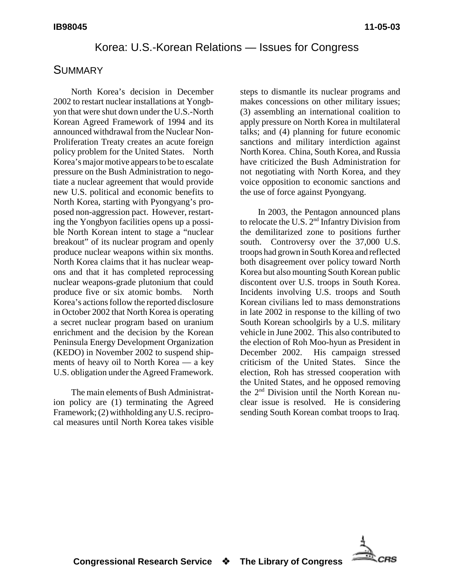#### Korea: U.S.-Korean Relations — Issues for Congress

#### **SUMMARY**

North Korea's decision in December 2002 to restart nuclear installations at Yongbyon that were shut down under the U.S.-North Korean Agreed Framework of 1994 and its announced withdrawal from the Nuclear Non-Proliferation Treaty creates an acute foreign policy problem for the United States. North Korea's major motive appears to be to escalate pressure on the Bush Administration to negotiate a nuclear agreement that would provide new U.S. political and economic benefits to North Korea, starting with Pyongyang's proposed non-aggression pact. However, restarting the Yongbyon facilities opens up a possible North Korean intent to stage a "nuclear breakout" of its nuclear program and openly produce nuclear weapons within six months. North Korea claims that it has nuclear weapons and that it has completed reprocessing nuclear weapons-grade plutonium that could produce five or six atomic bombs. North Korea's actions follow the reported disclosure in October 2002 that North Korea is operating a secret nuclear program based on uranium enrichment and the decision by the Korean Peninsula Energy Development Organization (KEDO) in November 2002 to suspend shipments of heavy oil to North Korea — a key U.S. obligation under the Agreed Framework.

The main elements of Bush Administration policy are (1) terminating the Agreed Framework; (2) withholding any U.S. reciprocal measures until North Korea takes visible steps to dismantle its nuclear programs and makes concessions on other military issues; (3) assembling an international coalition to apply pressure on North Korea in multilateral talks; and (4) planning for future economic sanctions and military interdiction against North Korea. China, South Korea, and Russia have criticized the Bush Administration for not negotiating with North Korea, and they voice opposition to economic sanctions and the use of force against Pyongyang.

In 2003, the Pentagon announced plans to relocate the U.S.  $2<sup>nd</sup>$  Infantry Division from the demilitarized zone to positions further south. Controversy over the 37,000 U.S. troops had grown in South Korea and reflected both disagreement over policy toward North Korea but also mounting South Korean public discontent over U.S. troops in South Korea. Incidents involving U.S. troops and South Korean civilians led to mass demonstrations in late 2002 in response to the killing of two South Korean schoolgirls by a U.S. military vehicle in June 2002. This also contributed to the election of Roh Moo-hyun as President in December 2002. His campaign stressed criticism of the United States. Since the election, Roh has stressed cooperation with the United States, and he opposed removing the 2<sup>nd</sup> Division until the North Korean nuclear issue is resolved. He is considering sending South Korean combat troops to Iraq.

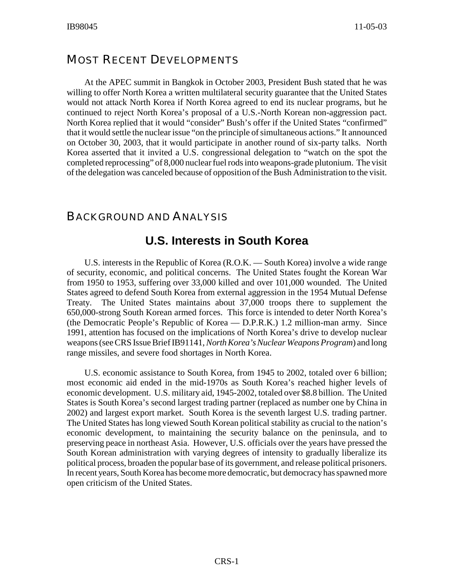#### MOST RECENT DEVELOPMENTS

At the APEC summit in Bangkok in October 2003, President Bush stated that he was willing to offer North Korea a written multilateral security guarantee that the United States would not attack North Korea if North Korea agreed to end its nuclear programs, but he continued to reject North Korea's proposal of a U.S.-North Korean non-aggression pact. North Korea replied that it would "consider" Bush's offer if the United States "confirmed" that it would settle the nuclear issue "on the principle of simultaneous actions." It announced on October 30, 2003, that it would participate in another round of six-party talks. North Korea asserted that it invited a U.S. congressional delegation to "watch on the spot the completed reprocessing" of 8,000 nuclear fuel rods into weapons-grade plutonium. The visit of the delegation was canceled because of opposition of the Bush Administration to the visit.

#### BACKGROUND AND ANALYSIS

## **U.S. Interests in South Korea**

U.S. interests in the Republic of Korea (R.O.K. — South Korea) involve a wide range of security, economic, and political concerns. The United States fought the Korean War from 1950 to 1953, suffering over 33,000 killed and over 101,000 wounded. The United States agreed to defend South Korea from external aggression in the 1954 Mutual Defense Treaty. The United States maintains about 37,000 troops there to supplement the 650,000-strong South Korean armed forces. This force is intended to deter North Korea's (the Democratic People's Republic of Korea — D.P.R.K.) 1.2 million-man army. Since 1991, attention has focused on the implications of North Korea's drive to develop nuclear weapons (see CRS Issue Brief IB91141,*North Korea's Nuclear Weapons Program*) and long range missiles, and severe food shortages in North Korea.

U.S. economic assistance to South Korea, from 1945 to 2002, totaled over 6 billion; most economic aid ended in the mid-1970s as South Korea's reached higher levels of economic development. U.S. military aid, 1945-2002, totaled over \$8.8 billion. The United States is South Korea's second largest trading partner (replaced as number one by China in 2002) and largest export market. South Korea is the seventh largest U.S. trading partner. The United States has long viewed South Korean political stability as crucial to the nation's economic development, to maintaining the security balance on the peninsula, and to preserving peace in northeast Asia. However, U.S. officials over the years have pressed the South Korean administration with varying degrees of intensity to gradually liberalize its political process, broaden the popular base of its government, and release political prisoners. In recent years, South Korea has become more democratic, but democracyhas spawned more open criticism of the United States.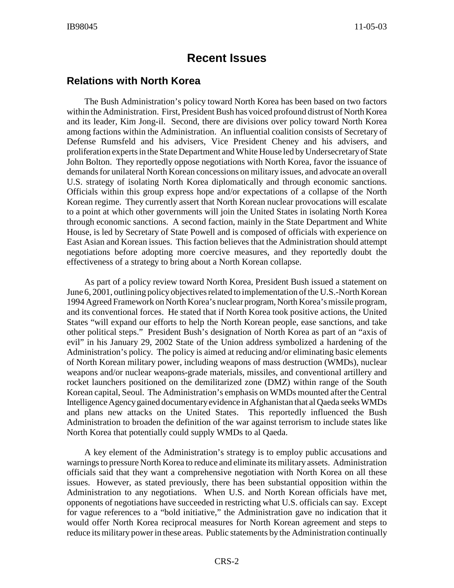# **Recent Issues**

#### **Relations with North Korea**

The Bush Administration's policy toward North Korea has been based on two factors within the Administration. First, President Bush has voiced profound distrust of North Korea and its leader, Kim Jong-il. Second, there are divisions over policy toward North Korea among factions within the Administration. An influential coalition consists of Secretary of Defense Rumsfeld and his advisers, Vice President Cheney and his advisers, and proliferation experts in the State Department and White House led byUndersecretaryof State John Bolton. They reportedly oppose negotiations with North Korea, favor the issuance of demands for unilateral North Korean concessions on military issues, and advocate an overall U.S. strategy of isolating North Korea diplomatically and through economic sanctions. Officials within this group express hope and/or expectations of a collapse of the North Korean regime. They currently assert that North Korean nuclear provocations will escalate to a point at which other governments will join the United States in isolating North Korea through economic sanctions. A second faction, mainly in the State Department and White House, is led by Secretary of State Powell and is composed of officials with experience on East Asian and Korean issues. This faction believes that the Administration should attempt negotiations before adopting more coercive measures, and they reportedly doubt the effectiveness of a strategy to bring about a North Korean collapse.

As part of a policy review toward North Korea, President Bush issued a statement on June 6, 2001, outlining policy objectives related to implementation of the U.S.-North Korean 1994 Agreed Framework on North Korea's nuclear program, North Korea's missile program, and its conventional forces. He stated that if North Korea took positive actions, the United States "will expand our efforts to help the North Korean people, ease sanctions, and take other political steps." President Bush's designation of North Korea as part of an "axis of evil" in his January 29, 2002 State of the Union address symbolized a hardening of the Administration's policy. The policy is aimed at reducing and/or eliminating basic elements of North Korean military power, including weapons of mass destruction (WMDs), nuclear weapons and/or nuclear weapons-grade materials, missiles, and conventional artillery and rocket launchers positioned on the demilitarized zone (DMZ) within range of the South Korean capital, Seoul. The Administration's emphasis on WMDs mounted after the Central Intelligence Agencygained documentaryevidence in Afghanistan that al Qaeda seeks WMDs and plans new attacks on the United States. This reportedly influenced the Bush Administration to broaden the definition of the war against terrorism to include states like North Korea that potentially could supply WMDs to al Qaeda.

A key element of the Administration's strategy is to employ public accusations and warnings to pressure North Korea to reduce and eliminate its military assets. Administration officials said that they want a comprehensive negotiation with North Korea on all these issues. However, as stated previously, there has been substantial opposition within the Administration to any negotiations. When U.S. and North Korean officials have met, opponents of negotiations have succeeded in restricting what U.S. officials can say. Except for vague references to a "bold initiative," the Administration gave no indication that it would offer North Korea reciprocal measures for North Korean agreement and steps to reduce its military power in these areas. Public statements by the Administration continually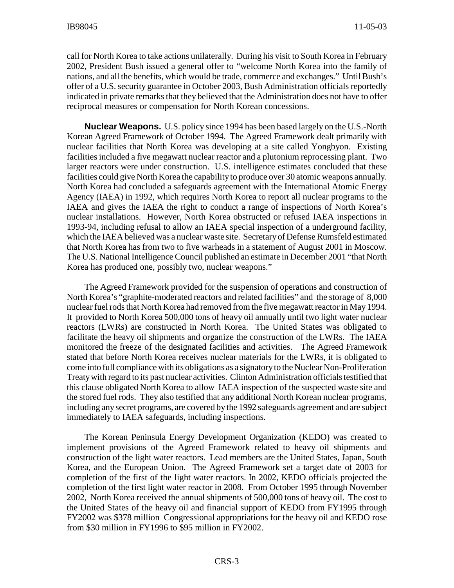call for North Korea to take actions unilaterally. During his visit to South Korea in February 2002, President Bush issued a general offer to "welcome North Korea into the family of nations, and all the benefits, which would be trade, commerce and exchanges." Until Bush's offer of a U.S. security guarantee in October 2003, Bush Administration officials reportedly indicated in private remarks that they believed that the Administration does not have to offer reciprocal measures or compensation for North Korean concessions.

**Nuclear Weapons.** U.S. policy since 1994 has been based largely on the U.S.-North Korean Agreed Framework of October 1994. The Agreed Framework dealt primarily with nuclear facilities that North Korea was developing at a site called Yongbyon. Existing facilities included a five megawatt nuclear reactor and a plutonium reprocessing plant. Two larger reactors were under construction. U.S. intelligence estimates concluded that these facilities could give North Korea the capabilityto produce over 30 atomic weapons annually. North Korea had concluded a safeguards agreement with the International Atomic Energy Agency (IAEA) in 1992, which requires North Korea to report all nuclear programs to the IAEA and gives the IAEA the right to conduct a range of inspections of North Korea's nuclear installations. However, North Korea obstructed or refused IAEA inspections in 1993-94, including refusal to allow an IAEA special inspection of a underground facility, which the IAEA believed was a nuclear waste site. Secretary of Defense Rumsfeld estimated that North Korea has from two to five warheads in a statement of August 2001 in Moscow. The U.S. National Intelligence Council published an estimate in December 2001 "that North Korea has produced one, possibly two, nuclear weapons."

The Agreed Framework provided for the suspension of operations and construction of North Korea's "graphite-moderated reactors and related facilities" and the storage of 8,000 nuclear fuel rods that North Korea had removed from the five megawatt reactor in May 1994. It provided to North Korea 500,000 tons of heavy oil annually until two light water nuclear reactors (LWRs) are constructed in North Korea. The United States was obligated to facilitate the heavy oil shipments and organize the construction of the LWRs. The IAEA monitored the freeze of the designated facilities and activities. The Agreed Framework stated that before North Korea receives nuclear materials for the LWRs, it is obligated to come into full compliance with its obligations as a signatoryto the Nuclear Non-Proliferation Treatywith regard to its past nuclear activities. Clinton Administration officials testified that this clause obligated North Korea to allow IAEA inspection of the suspected waste site and the stored fuel rods. They also testified that any additional North Korean nuclear programs, including any secret programs, are covered by the 1992 safeguards agreement and are subject immediately to IAEA safeguards, including inspections.

The Korean Peninsula Energy Development Organization (KEDO) was created to implement provisions of the Agreed Framework related to heavy oil shipments and construction of the light water reactors. Lead members are the United States, Japan, South Korea, and the European Union. The Agreed Framework set a target date of 2003 for completion of the first of the light water reactors. In 2002, KEDO officials projected the completion of the first light water reactor in 2008. From October 1995 through November 2002, North Korea received the annual shipments of 500,000 tons of heavy oil. The cost to the United States of the heavy oil and financial support of KEDO from FY1995 through FY2002 was \$378 million Congressional appropriations for the heavy oil and KEDO rose from \$30 million in FY1996 to \$95 million in FY2002.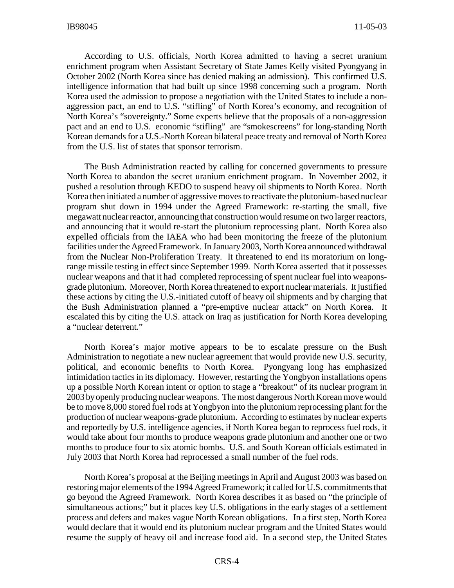According to U.S. officials, North Korea admitted to having a secret uranium enrichment program when Assistant Secretary of State James Kelly visited Pyongyang in October 2002 (North Korea since has denied making an admission). This confirmed U.S. intelligence information that had built up since 1998 concerning such a program. North Korea used the admission to propose a negotiation with the United States to include a nonaggression pact, an end to U.S. "stifling" of North Korea's economy, and recognition of North Korea's "sovereignty." Some experts believe that the proposals of a non-aggression pact and an end to U.S. economic "stifling" are "smokescreens" for long-standing North Korean demands for a U.S.-North Korean bilateral peace treaty and removal of North Korea from the U.S. list of states that sponsor terrorism.

The Bush Administration reacted by calling for concerned governments to pressure North Korea to abandon the secret uranium enrichment program. In November 2002, it pushed a resolution through KEDO to suspend heavy oil shipments to North Korea. North Korea then initiated a number of aggressive moves to reactivate the plutonium-based nuclear program shut down in 1994 under the Agreed Framework: re-starting the small, five megawatt nuclear reactor, announcing that construction would resume on two larger reactors, and announcing that it would re-start the plutonium reprocessing plant. North Korea also expelled officials from the IAEA who had been monitoring the freeze of the plutonium facilities under the Agreed Framework. In January2003, North Korea announced withdrawal from the Nuclear Non-Proliferation Treaty. It threatened to end its moratorium on longrange missile testing in effect since September 1999. North Korea asserted that it possesses nuclear weapons and that it had completed reprocessing of spent nuclear fuel into weaponsgrade plutonium. Moreover, North Korea threatened to export nuclear materials. It justified these actions by citing the U.S.-initiated cutoff of heavy oil shipments and by charging that the Bush Administration planned a "pre-emptive nuclear attack" on North Korea. It escalated this by citing the U.S. attack on Iraq as justification for North Korea developing a "nuclear deterrent."

North Korea's major motive appears to be to escalate pressure on the Bush Administration to negotiate a new nuclear agreement that would provide new U.S. security, political, and economic benefits to North Korea. Pyongyang long has emphasized intimidation tactics in its diplomacy. However, restarting the Yongbyon installations opens up a possible North Korean intent or option to stage a "breakout" of its nuclear program in 2003 byopenly producing nuclear weapons. The most dangerous North Korean move would be to move 8,000 stored fuel rods at Yongbyon into the plutonium reprocessing plant for the production of nuclear weapons-grade plutonium. According to estimates by nuclear experts and reportedly by U.S. intelligence agencies, if North Korea began to reprocess fuel rods, it would take about four months to produce weapons grade plutonium and another one or two months to produce four to six atomic bombs. U.S. and South Korean officials estimated in July 2003 that North Korea had reprocessed a small number of the fuel rods.

North Korea's proposal at the Beijing meetings in April and August 2003 was based on restoring major elements of the 1994 Agreed Framework; it called for U.S. commitments that go beyond the Agreed Framework. North Korea describes it as based on "the principle of simultaneous actions;" but it places key U.S. obligations in the early stages of a settlement process and defers and makes vague North Korean obligations. In a first step, North Korea would declare that it would end its plutonium nuclear program and the United States would resume the supply of heavy oil and increase food aid. In a second step, the United States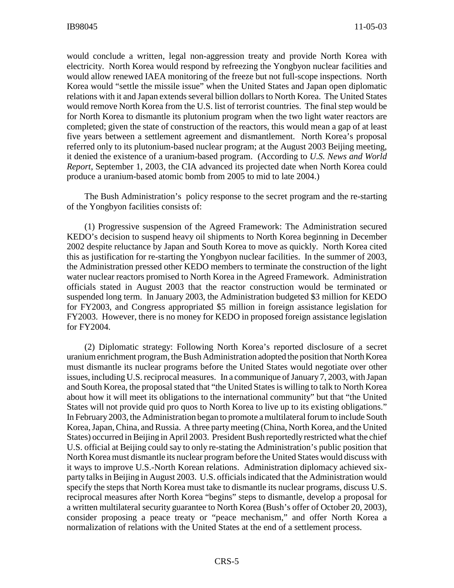would conclude a written, legal non-aggression treaty and provide North Korea with electricity. North Korea would respond by refreezing the Yongbyon nuclear facilities and would allow renewed IAEA monitoring of the freeze but not full-scope inspections. North Korea would "settle the missile issue" when the United States and Japan open diplomatic relations with it and Japan extends several billion dollars to North Korea. The United States would remove North Korea from the U.S. list of terrorist countries. The final step would be for North Korea to dismantle its plutonium program when the two light water reactors are completed; given the state of construction of the reactors, this would mean a gap of at least five years between a settlement agreement and dismantlement. North Korea's proposal referred only to its plutonium-based nuclear program; at the August 2003 Beijing meeting, it denied the existence of a uranium-based program. (According to *U.S. News and World Report*, September 1, 2003, the CIA advanced its projected date when North Korea could produce a uranium-based atomic bomb from 2005 to mid to late 2004.)

The Bush Administration's policy response to the secret program and the re-starting of the Yongbyon facilities consists of:

(1) Progressive suspension of the Agreed Framework: The Administration secured KEDO's decision to suspend heavy oil shipments to North Korea beginning in December 2002 despite reluctance by Japan and South Korea to move as quickly. North Korea cited this as justification for re-starting the Yongbyon nuclear facilities. In the summer of 2003, the Administration pressed other KEDO members to terminate the construction of the light water nuclear reactors promised to North Korea in the Agreed Framework. Administration officials stated in August 2003 that the reactor construction would be terminated or suspended long term. In January 2003, the Administration budgeted \$3 million for KEDO for FY2003, and Congress appropriated \$5 million in foreign assistance legislation for FY2003. However, there is no money for KEDO in proposed foreign assistance legislation for FY2004.

(2) Diplomatic strategy: Following North Korea's reported disclosure of a secret uranium enrichment program, the Bush Administration adopted the position that North Korea must dismantle its nuclear programs before the United States would negotiate over other issues, including U.S. reciprocal measures. In a communique of January 7, 2003, with Japan and South Korea, the proposal stated that "the United States is willing to talk to North Korea about how it will meet its obligations to the international community" but that "the United States will not provide quid pro quos to North Korea to live up to its existing obligations." In February 2003, the Administration began to promote a multilateral forum to include South Korea, Japan, China, and Russia. A three party meeting (China, North Korea, and the United States) occurred in Beijing in April 2003. President Bush reportedly restricted what the chief U.S. official at Beijing could say to only re-stating the Administration's public position that North Korea must dismantle its nuclear program before the United States would discuss with it ways to improve U.S.-North Korean relations. Administration diplomacy achieved sixparty talks in Beijing in August 2003. U.S. officials indicated that the Administration would specify the steps that North Korea must take to dismantle its nuclear programs, discuss U.S. reciprocal measures after North Korea "begins" steps to dismantle, develop a proposal for a written multilateral security guarantee to North Korea (Bush's offer of October 20, 2003), consider proposing a peace treaty or "peace mechanism," and offer North Korea a normalization of relations with the United States at the end of a settlement process.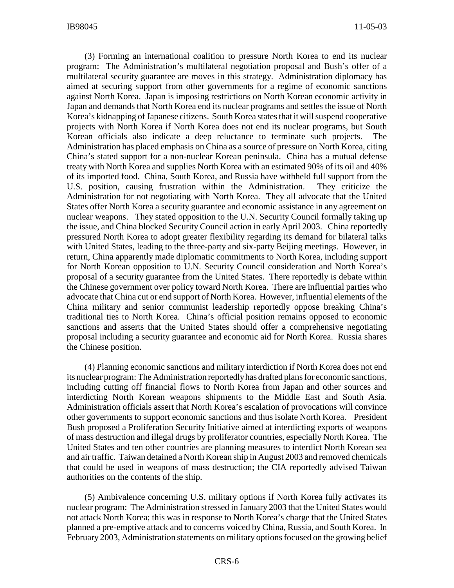(3) Forming an international coalition to pressure North Korea to end its nuclear program: The Administration's multilateral negotiation proposal and Bush's offer of a multilateral security guarantee are moves in this strategy. Administration diplomacy has aimed at securing support from other governments for a regime of economic sanctions against North Korea. Japan is imposing restrictions on North Korean economic activity in Japan and demands that North Korea end its nuclear programs and settles the issue of North Korea's kidnapping of Japanese citizens. South Korea states that it will suspend cooperative projects with North Korea if North Korea does not end its nuclear programs, but South Korean officials also indicate a deep reluctance to terminate such projects. The Administration has placed emphasis on China as a source of pressure on North Korea, citing China's stated support for a non-nuclear Korean peninsula. China has a mutual defense treaty with North Korea and supplies North Korea with an estimated 90% of its oil and 40% of its imported food. China, South Korea, and Russia have withheld full support from the U.S. position, causing frustration within the Administration. They criticize the Administration for not negotiating with North Korea. They all advocate that the United States offer North Korea a security guarantee and economic assistance in any agreement on nuclear weapons. They stated opposition to the U.N. Security Council formally taking up the issue, and China blocked Security Council action in early April 2003. China reportedly pressured North Korea to adopt greater flexibility regarding its demand for bilateral talks with United States, leading to the three-party and six-party Beijing meetings. However, in return, China apparently made diplomatic commitments to North Korea, including support for North Korean opposition to U.N. Security Council consideration and North Korea's proposal of a security guarantee from the United States. There reportedly is debate within the Chinese government over policy toward North Korea. There are influential parties who advocate that China cut or end support of North Korea. However, influential elements of the China military and senior communist leadership reportedly oppose breaking China's traditional ties to North Korea. China's official position remains opposed to economic sanctions and asserts that the United States should offer a comprehensive negotiating proposal including a security guarantee and economic aid for North Korea. Russia shares the Chinese position.

(4) Planning economic sanctions and military interdiction if North Korea does not end its nuclear program: The Administration reportedlyhas drafted plans for economic sanctions, including cutting off financial flows to North Korea from Japan and other sources and interdicting North Korean weapons shipments to the Middle East and South Asia. Administration officials assert that North Korea's escalation of provocations will convince other governments to support economic sanctions and thus isolate North Korea. President Bush proposed a Proliferation Security Initiative aimed at interdicting exports of weapons of mass destruction and illegal drugs by proliferator countries, especially North Korea. The United States and ten other countries are planning measures to interdict North Korean sea and air traffic. Taiwan detained a North Korean ship in August 2003 and removed chemicals that could be used in weapons of mass destruction; the CIA reportedly advised Taiwan authorities on the contents of the ship.

(5) Ambivalence concerning U.S. military options if North Korea fully activates its nuclear program: The Administration stressed in January 2003 that the United States would not attack North Korea; this was in response to North Korea's charge that the United States planned a pre-emptive attack and to concerns voiced by China, Russia, and South Korea. In February 2003, Administration statements on military options focused on the growing belief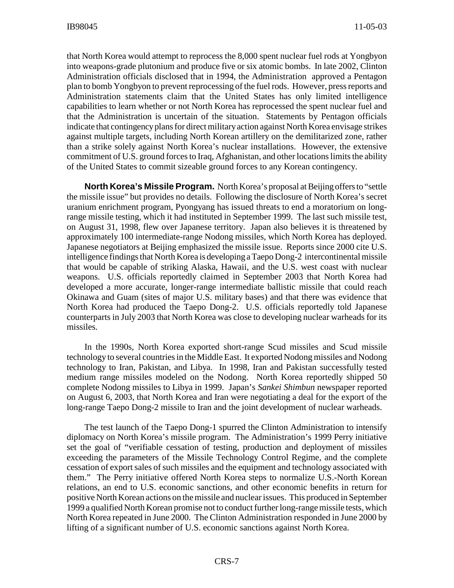that North Korea would attempt to reprocess the 8,000 spent nuclear fuel rods at Yongbyon into weapons-grade plutonium and produce five or six atomic bombs. In late 2002, Clinton Administration officials disclosed that in 1994, the Administration approved a Pentagon plan to bomb Yongbyon to prevent reprocessing of the fuel rods. However, press reports and Administration statements claim that the United States has only limited intelligence capabilities to learn whether or not North Korea has reprocessed the spent nuclear fuel and that the Administration is uncertain of the situation. Statements by Pentagon officials indicate that contingencyplans for direct militaryaction against North Korea envisage strikes against multiple targets, including North Korean artillery on the demilitarized zone, rather than a strike solely against North Korea's nuclear installations. However, the extensive commitment of U.S. ground forces to Iraq, Afghanistan, and other locations limits the ability of the United States to commit sizeable ground forces to any Korean contingency.

**North Korea's Missile Program.** North Korea's proposal at Beijing offers to "settle the missile issue" but provides no details. Following the disclosure of North Korea's secret uranium enrichment program, Pyongyang has issued threats to end a moratorium on longrange missile testing, which it had instituted in September 1999. The last such missile test, on August 31, 1998, flew over Japanese territory. Japan also believes it is threatened by approximately 100 intermediate-range Nodong missiles, which North Korea has deployed. Japanese negotiators at Beijing emphasized the missile issue. Reports since 2000 cite U.S. intelligence findings that North Korea is developing a Taepo Dong-2 intercontinental missile that would be capable of striking Alaska, Hawaii, and the U.S. west coast with nuclear weapons. U.S. officials reportedly claimed in September 2003 that North Korea had developed a more accurate, longer-range intermediate ballistic missile that could reach Okinawa and Guam (sites of major U.S. military bases) and that there was evidence that North Korea had produced the Taepo Dong-2. U.S. officials reportedly told Japanese counterparts in July 2003 that North Korea was close to developing nuclear warheads for its missiles.

In the 1990s, North Korea exported short-range Scud missiles and Scud missile technology to several countries in the Middle East. It exported Nodong missiles and Nodong technology to Iran, Pakistan, and Libya. In 1998, Iran and Pakistan successfully tested medium range missiles modeled on the Nodong. North Korea reportedly shipped 50 complete Nodong missiles to Libya in 1999. Japan's *Sankei Shimbun* newspaper reported on August 6, 2003, that North Korea and Iran were negotiating a deal for the export of the long-range Taepo Dong-2 missile to Iran and the joint development of nuclear warheads.

The test launch of the Taepo Dong-1 spurred the Clinton Administration to intensify diplomacy on North Korea's missile program. The Administration's 1999 Perry initiative set the goal of "verifiable cessation of testing, production and deployment of missiles exceeding the parameters of the Missile Technology Control Regime, and the complete cessation of export sales of such missiles and the equipment and technology associated with them." The Perry initiative offered North Korea steps to normalize U.S.-North Korean relations, an end to U.S. economic sanctions, and other economic benefits in return for positive North Korean actions on the missile and nuclear issues. This produced in September 1999 a qualified North Korean promise not to conduct further long-range missile tests, which North Korea repeated in June 2000. The Clinton Administration responded in June 2000 by lifting of a significant number of U.S. economic sanctions against North Korea.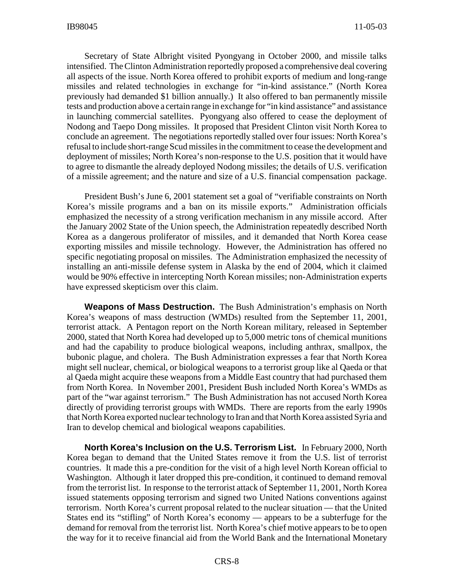Secretary of State Albright visited Pyongyang in October 2000, and missile talks intensified. The Clinton Administration reportedly proposed a comprehensive deal covering all aspects of the issue. North Korea offered to prohibit exports of medium and long-range missiles and related technologies in exchange for "in-kind assistance." (North Korea previously had demanded \$1 billion annually.) It also offered to ban permanently missile tests and production above a certain range in exchange for "in kind assistance" and assistance in launching commercial satellites. Pyongyang also offered to cease the deployment of Nodong and Taepo Dong missiles. It proposed that President Clinton visit North Korea to conclude an agreement. The negotiations reportedly stalled over four issues: North Korea's refusal to include short-range Scud missiles in the commitment to cease the development and deployment of missiles; North Korea's non-response to the U.S. position that it would have to agree to dismantle the already deployed Nodong missiles; the details of U.S. verification of a missile agreement; and the nature and size of a U.S. financial compensation package.

President Bush's June 6, 2001 statement set a goal of "verifiable constraints on North Korea's missile programs and a ban on its missile exports." Administration officials emphasized the necessity of a strong verification mechanism in any missile accord. After the January 2002 State of the Union speech, the Administration repeatedly described North Korea as a dangerous proliferator of missiles, and it demanded that North Korea cease exporting missiles and missile technology. However, the Administration has offered no specific negotiating proposal on missiles. The Administration emphasized the necessity of installing an anti-missile defense system in Alaska by the end of 2004, which it claimed would be 90% effective in intercepting North Korean missiles; non-Administration experts have expressed skepticism over this claim.

**Weapons of Mass Destruction.** The Bush Administration's emphasis on North Korea's weapons of mass destruction (WMDs) resulted from the September 11, 2001, terrorist attack. A Pentagon report on the North Korean military, released in September 2000, stated that North Korea had developed up to 5,000 metric tons of chemical munitions and had the capability to produce biological weapons, including anthrax, smallpox, the bubonic plague, and cholera. The Bush Administration expresses a fear that North Korea might sell nuclear, chemical, or biological weapons to a terrorist group like al Qaeda or that al Qaeda might acquire these weapons from a Middle East country that had purchased them from North Korea. In November 2001, President Bush included North Korea's WMDs as part of the "war against terrorism." The Bush Administration has not accused North Korea directly of providing terrorist groups with WMDs. There are reports from the early 1990s that North Korea exported nuclear technology to Iran and that North Korea assisted Syria and Iran to develop chemical and biological weapons capabilities.

**North Korea's Inclusion on the U.S. Terrorism List.** In February 2000, North Korea began to demand that the United States remove it from the U.S. list of terrorist countries. It made this a pre-condition for the visit of a high level North Korean official to Washington. Although it later dropped this pre-condition, it continued to demand removal from the terrorist list. In response to the terrorist attack of September 11, 2001, North Korea issued statements opposing terrorism and signed two United Nations conventions against terrorism. North Korea's current proposal related to the nuclear situation — that the United States end its "stifling" of North Korea's economy — appears to be a subterfuge for the demand for removal from the terrorist list. North Korea's chief motive appears to be to open the way for it to receive financial aid from the World Bank and the International Monetary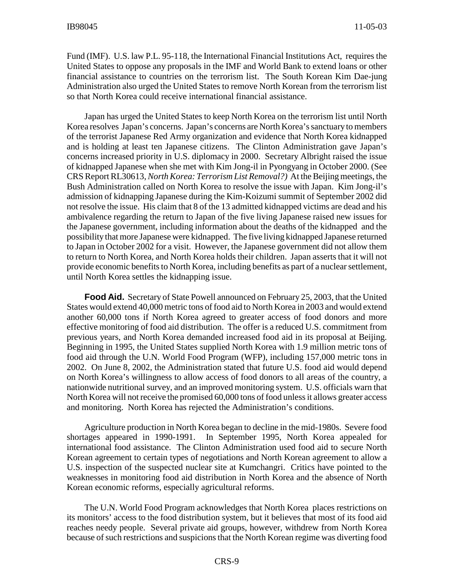Fund (IMF). U.S. law P.L. 95-118, the International Financial Institutions Act, requires the United States to oppose any proposals in the IMF and World Bank to extend loans or other financial assistance to countries on the terrorism list. The South Korean Kim Dae-jung Administration also urged the United States to remove North Korean from the terrorism list so that North Korea could receive international financial assistance.

Japan has urged the United States to keep North Korea on the terrorism list until North Korea resolves Japan's concerns. Japan's concerns are North Korea's sanctuary to members of the terrorist Japanese Red Army organization and evidence that North Korea kidnapped and is holding at least ten Japanese citizens. The Clinton Administration gave Japan's concerns increased priority in U.S. diplomacy in 2000. Secretary Albright raised the issue of kidnapped Japanese when she met with Kim Jong-il in Pyongyang in October 2000. (See CRS Report RL30613,*North Korea: Terrorism List Removal?)* At the Beijing meetings, the Bush Administration called on North Korea to resolve the issue with Japan. Kim Jong-il's admission of kidnapping Japanese during the Kim-Koizumi summit of September 2002 did not resolve the issue. His claim that 8 of the 13 admitted kidnapped victims are dead and his ambivalence regarding the return to Japan of the five living Japanese raised new issues for the Japanese government, including information about the deaths of the kidnapped and the possibility that more Japanese were kidnapped. The five living kidnapped Japanese returned to Japan in October 2002 for a visit. However, the Japanese government did not allow them to return to North Korea, and North Korea holds their children. Japan asserts that it will not provide economic benefits to North Korea, including benefits as part of a nuclear settlement, until North Korea settles the kidnapping issue.

**Food Aid.** Secretary of State Powell announced on February 25, 2003, that the United States would extend 40,000 metric tons of food aid to North Korea in 2003 and would extend another 60,000 tons if North Korea agreed to greater access of food donors and more effective monitoring of food aid distribution. The offer is a reduced U.S. commitment from previous years, and North Korea demanded increased food aid in its proposal at Beijing. Beginning in 1995, the United States supplied North Korea with 1.9 million metric tons of food aid through the U.N. World Food Program (WFP), including 157,000 metric tons in 2002. On June 8, 2002, the Administration stated that future U.S. food aid would depend on North Korea's willingness to allow access of food donors to all areas of the country, a nationwide nutritional survey, and an improved monitoring system. U.S. officials warn that North Korea will not receive the promised 60,000 tons of food unless it allows greater access and monitoring. North Korea has rejected the Administration's conditions.

Agriculture production in North Korea began to decline in the mid-1980s. Severe food shortages appeared in 1990-1991. In September 1995, North Korea appealed for international food assistance. The Clinton Administration used food aid to secure North Korean agreement to certain types of negotiations and North Korean agreement to allow a U.S. inspection of the suspected nuclear site at Kumchangri. Critics have pointed to the weaknesses in monitoring food aid distribution in North Korea and the absence of North Korean economic reforms, especially agricultural reforms.

The U.N. World Food Program acknowledges that North Korea places restrictions on its monitors' access to the food distribution system, but it believes that most of its food aid reaches needy people. Several private aid groups, however, withdrew from North Korea because of such restrictions and suspicions that the North Korean regime was diverting food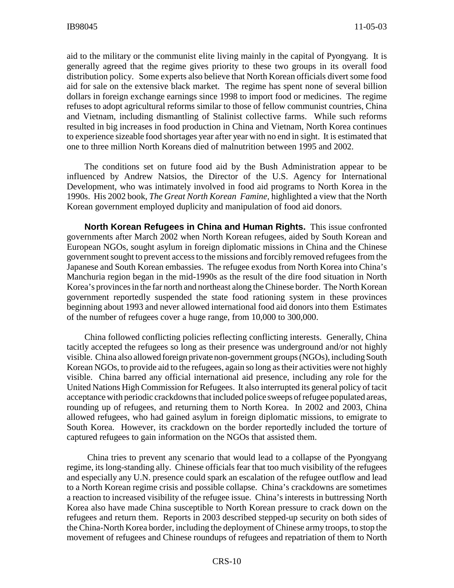aid to the military or the communist elite living mainly in the capital of Pyongyang. It is generally agreed that the regime gives priority to these two groups in its overall food distribution policy. Some experts also believe that North Korean officials divert some food aid for sale on the extensive black market. The regime has spent none of several billion dollars in foreign exchange earnings since 1998 to import food or medicines. The regime refuses to adopt agricultural reforms similar to those of fellow communist countries, China and Vietnam, including dismantling of Stalinist collective farms. While such reforms resulted in big increases in food production in China and Vietnam, North Korea continues to experience sizeable food shortages year after year with no end in sight. It is estimated that one to three million North Koreans died of malnutrition between 1995 and 2002.

The conditions set on future food aid by the Bush Administration appear to be influenced by Andrew Natsios, the Director of the U.S. Agency for International Development, who was intimately involved in food aid programs to North Korea in the 1990s. His 2002 book, *The Great North Korean Famine,* highlighted a view that the North Korean government employed duplicity and manipulation of food aid donors.

**North Korean Refugees in China and Human Rights.** This issue confronted governments after March 2002 when North Korean refugees, aided by South Korean and European NGOs, sought asylum in foreign diplomatic missions in China and the Chinese government sought to prevent access to the missions and forcibly removed refugees from the Japanese and South Korean embassies. The refugee exodus from North Korea into China's Manchuria region began in the mid-1990s as the result of the dire food situation in North Korea's provinces in the far north and northeast along the Chinese border. The North Korean government reportedly suspended the state food rationing system in these provinces beginning about 1993 and never allowed international food aid donors into them Estimates of the number of refugees cover a huge range, from 10,000 to 300,000.

China followed conflicting policies reflecting conflicting interests. Generally, China tacitly accepted the refugees so long as their presence was underground and/or not highly visible. China also allowed foreign private non-government groups (NGOs), including South Korean NGOs, to provide aid to the refugees, again so long as their activities were not highly visible. China barred any official international aid presence, including any role for the United Nations High Commission for Refugees. It also interrupted its general policy of tacit acceptance with periodic crackdowns that included police sweeps of refugee populated areas, rounding up of refugees, and returning them to North Korea. In 2002 and 2003, China allowed refugees, who had gained asylum in foreign diplomatic missions, to emigrate to South Korea. However, its crackdown on the border reportedly included the torture of captured refugees to gain information on the NGOs that assisted them.

China tries to prevent any scenario that would lead to a collapse of the Pyongyang regime, its long-standing ally. Chinese officials fear that too much visibility of the refugees and especially any U.N. presence could spark an escalation of the refugee outflow and lead to a North Korean regime crisis and possible collapse. China's crackdowns are sometimes a reaction to increased visibility of the refugee issue. China's interests in buttressing North Korea also have made China susceptible to North Korean pressure to crack down on the refugees and return them. Reports in 2003 described stepped-up security on both sides of the China-North Korea border, including the deployment of Chinese army troops, to stop the movement of refugees and Chinese roundups of refugees and repatriation of them to North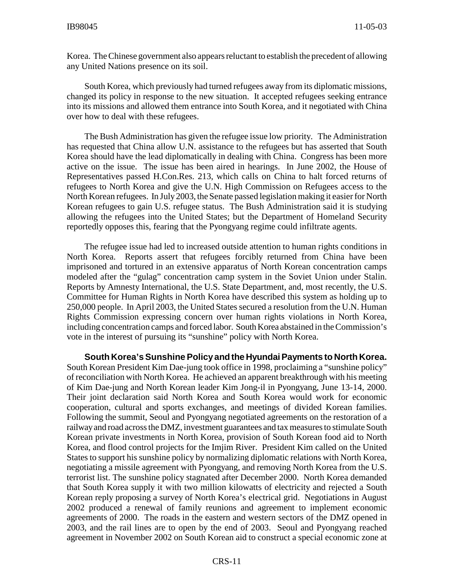Korea. The Chinese government also appears reluctant to establish the precedent of allowing any United Nations presence on its soil.

South Korea, which previously had turned refugees away from its diplomatic missions, changed its policy in response to the new situation. It accepted refugees seeking entrance into its missions and allowed them entrance into South Korea, and it negotiated with China over how to deal with these refugees.

The Bush Administration has given the refugee issue low priority. The Administration has requested that China allow U.N. assistance to the refugees but has asserted that South Korea should have the lead diplomatically in dealing with China. Congress has been more active on the issue. The issue has been aired in hearings. In June 2002, the House of Representatives passed H.Con.Res. 213, which calls on China to halt forced returns of refugees to North Korea and give the U.N. High Commission on Refugees access to the North Korean refugees. In July2003, the Senate passed legislation making it easier for North Korean refugees to gain U.S. refugee status. The Bush Administration said it is studying allowing the refugees into the United States; but the Department of Homeland Security reportedly opposes this, fearing that the Pyongyang regime could infiltrate agents.

The refugee issue had led to increased outside attention to human rights conditions in North Korea. Reports assert that refugees forcibly returned from China have been imprisoned and tortured in an extensive apparatus of North Korean concentration camps modeled after the "gulag" concentration camp system in the Soviet Union under Stalin. Reports by Amnesty International, the U.S. State Department, and, most recently, the U.S. Committee for Human Rights in North Korea have described this system as holding up to 250,000 people. In April 2003, the United States secured a resolution from the U.N. Human Rights Commission expressing concern over human rights violations in North Korea, including concentration camps and forced labor. South Korea abstained in the Commission's vote in the interest of pursuing its "sunshine" policy with North Korea.

**South Korea's Sunshine Policyand the Hyundai Payments to North Korea.** South Korean President Kim Dae-jung took office in 1998, proclaiming a "sunshine policy" of reconciliation with North Korea. He achieved an apparent breakthrough with his meeting of Kim Dae-jung and North Korean leader Kim Jong-il in Pyongyang, June 13-14, 2000. Their joint declaration said North Korea and South Korea would work for economic cooperation, cultural and sports exchanges, and meetings of divided Korean families. Following the summit, Seoul and Pyongyang negotiated agreements on the restoration of a railwayand road across the DMZ, investment guarantees and tax measures to stimulate South Korean private investments in North Korea, provision of South Korean food aid to North Korea, and flood control projects for the Imjim River. President Kim called on the United States to support his sunshine policy by normalizing diplomatic relations with North Korea, negotiating a missile agreement with Pyongyang, and removing North Korea from the U.S. terrorist list. The sunshine policy stagnated after December 2000. North Korea demanded that South Korea supply it with two million kilowatts of electricity and rejected a South Korean reply proposing a survey of North Korea's electrical grid. Negotiations in August 2002 produced a renewal of family reunions and agreement to implement economic agreements of 2000. The roads in the eastern and western sectors of the DMZ opened in 2003, and the rail lines are to open by the end of 2003. Seoul and Pyongyang reached agreement in November 2002 on South Korean aid to construct a special economic zone at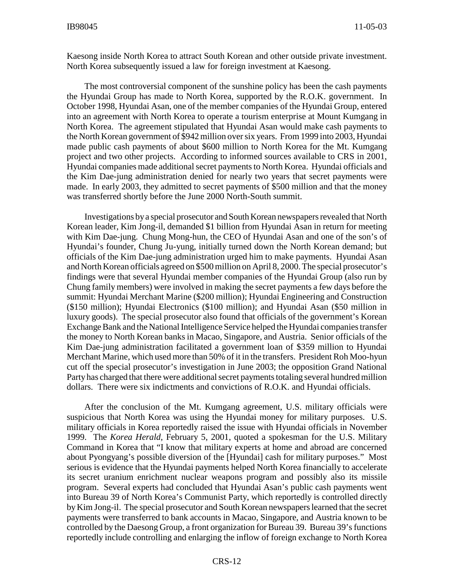Kaesong inside North Korea to attract South Korean and other outside private investment. North Korea subsequently issued a law for foreign investment at Kaesong.

The most controversial component of the sunshine policy has been the cash payments the Hyundai Group has made to North Korea, supported by the R.O.K. government. In October 1998, Hyundai Asan, one of the member companies of the Hyundai Group, entered into an agreement with North Korea to operate a tourism enterprise at Mount Kumgang in North Korea. The agreement stipulated that Hyundai Asan would make cash payments to the North Korean government of \$942 million over six years. From 1999 into 2003, Hyundai made public cash payments of about \$600 million to North Korea for the Mt. Kumgang project and two other projects. According to informed sources available to CRS in 2001, Hyundai companies made additional secret payments to North Korea. Hyundai officials and the Kim Dae-jung administration denied for nearly two years that secret payments were made. In early 2003, they admitted to secret payments of \$500 million and that the money was transferred shortly before the June 2000 North-South summit.

Investigations bya special prosecutor and South Korean newspapers revealed that North Korean leader, Kim Jong-il, demanded \$1 billion from Hyundai Asan in return for meeting with Kim Dae-jung. Chung Mong-hun, the CEO of Hyundai Asan and one of the son's of Hyundai's founder, Chung Ju-yung, initially turned down the North Korean demand; but officials of the Kim Dae-jung administration urged him to make payments. Hyundai Asan and North Korean officials agreed on \$500 million on April 8, 2000. The special prosecutor's findings were that several Hyundai member companies of the Hyundai Group (also run by Chung family members) were involved in making the secret payments a few days before the summit: Hyundai Merchant Marine (\$200 million); Hyundai Engineering and Construction (\$150 million); Hyundai Electronics (\$100 million); and Hyundai Asan (\$50 million in luxury goods). The special prosecutor also found that officials of the government's Korean Exchange Bank and the National Intelligence Service helped the Hyundai companies transfer the money to North Korean banks in Macao, Singapore, and Austria. Senior officials of the Kim Dae-jung administration facilitated a government loan of \$359 million to Hyundai Merchant Marine, which used more than 50% of it in the transfers. President Roh Moo-hyun cut off the special prosecutor's investigation in June 2003; the opposition Grand National Partyhas charged that there were additional secret payments totaling several hundred million dollars. There were six indictments and convictions of R.O.K. and Hyundai officials.

After the conclusion of the Mt. Kumgang agreement, U.S. military officials were suspicious that North Korea was using the Hyundai money for military purposes. U.S. military officials in Korea reportedly raised the issue with Hyundai officials in November 1999. The *Korea Herald*, February 5, 2001, quoted a spokesman for the U.S. Military Command in Korea that "I know that military experts at home and abroad are concerned about Pyongyang's possible diversion of the [Hyundai] cash for military purposes." Most serious is evidence that the Hyundai payments helped North Korea financially to accelerate its secret uranium enrichment nuclear weapons program and possibly also its missile program. Several experts had concluded that Hyundai Asan's public cash payments went into Bureau 39 of North Korea's Communist Party, which reportedly is controlled directly by Kim Jong-il. The special prosecutor and South Korean newspapers learned that the secret payments were transferred to bank accounts in Macao, Singapore, and Austria known to be controlled by the Daesong Group, a front organization for Bureau 39. Bureau 39's functions reportedly include controlling and enlarging the inflow of foreign exchange to North Korea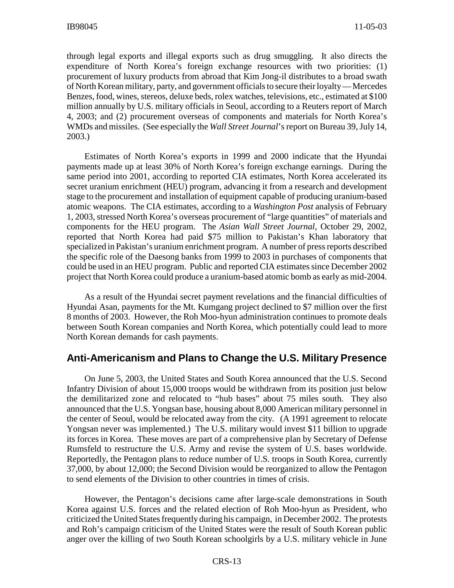through legal exports and illegal exports such as drug smuggling. It also directs the expenditure of North Korea's foreign exchange resources with two priorities: (1) procurement of luxury products from abroad that Kim Jong-il distributes to a broad swath of North Korean military, party, and government officials to secure their loyalty— Mercedes Benzes, food, wines, stereos, deluxe beds, rolex watches, televisions, etc., estimated at \$100 million annually by U.S. military officials in Seoul, according to a Reuters report of March 4, 2003; and (2) procurement overseas of components and materials for North Korea's WMDs and missiles. (See especially the *Wall Street Journal*'s report on Bureau 39, July 14, 2003.)

Estimates of North Korea's exports in 1999 and 2000 indicate that the Hyundai payments made up at least 30% of North Korea's foreign exchange earnings. During the same period into 2001, according to reported CIA estimates, North Korea accelerated its secret uranium enrichment (HEU) program, advancing it from a research and development stage to the procurement and installation of equipment capable of producing uranium-based atomic weapons. The CIA estimates, according to a *Washington Post* analysis of February 1, 2003, stressed North Korea's overseas procurement of "large quantities" of materials and components for the HEU program. The *Asian Wall Street Journal*, October 29, 2002, reported that North Korea had paid \$75 million to Pakistan's Khan laboratory that specialized in Pakistan's uranium enrichment program. A number of press reports described the specific role of the Daesong banks from 1999 to 2003 in purchases of components that could be used in an HEU program. Public and reported CIA estimates since December 2002 project that North Korea could produce a uranium-based atomic bomb as early as mid-2004.

As a result of the Hyundai secret payment revelations and the financial difficulties of Hyundai Asan, payments for the Mt. Kumgang project declined to \$7 million over the first 8 months of 2003. However, the Roh Moo-hyun administration continues to promote deals between South Korean companies and North Korea, which potentially could lead to more North Korean demands for cash payments.

#### **Anti-Americanism and Plans to Change the U.S. Military Presence**

On June 5, 2003, the United States and South Korea announced that the U.S. Second Infantry Division of about 15,000 troops would be withdrawn from its position just below the demilitarized zone and relocated to "hub bases" about 75 miles south. They also announced that the U.S. Yongsan base, housing about 8,000 American military personnel in the center of Seoul, would be relocated away from the city. (A 1991 agreement to relocate Yongsan never was implemented.) The U.S. military would invest \$11 billion to upgrade its forces in Korea. These moves are part of a comprehensive plan by Secretary of Defense Rumsfeld to restructure the U.S. Army and revise the system of U.S. bases worldwide. Reportedly, the Pentagon plans to reduce number of U.S. troops in South Korea, currently 37,000, by about 12,000; the Second Division would be reorganized to allow the Pentagon to send elements of the Division to other countries in times of crisis.

However, the Pentagon's decisions came after large-scale demonstrations in South Korea against U.S. forces and the related election of Roh Moo-hyun as President, who criticized the United Statesfrequently during his campaign, in December 2002. The protests and Roh's campaign criticism of the United States were the result of South Korean public anger over the killing of two South Korean schoolgirls by a U.S. military vehicle in June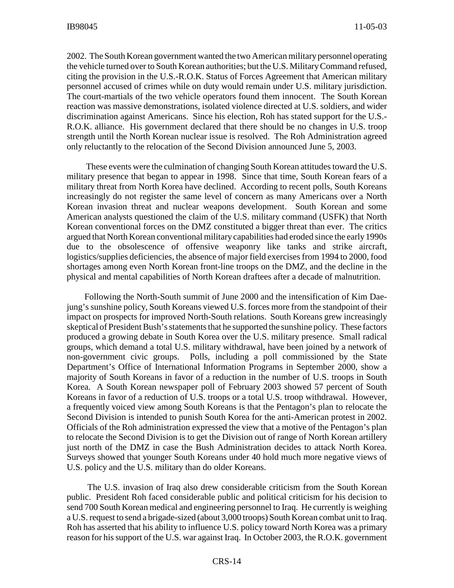2002. The South Korean government wanted the two American militarypersonnel operating the vehicle turned over to South Korean authorities; but the U.S. Military Command refused, citing the provision in the U.S.-R.O.K. Status of Forces Agreement that American military personnel accused of crimes while on duty would remain under U.S. military jurisdiction. The court-martials of the two vehicle operators found them innocent. The South Korean reaction was massive demonstrations, isolated violence directed at U.S. soldiers, and wider discrimination against Americans. Since his election, Roh has stated support for the U.S.- R.O.K. alliance. His government declared that there should be no changes in U.S. troop strength until the North Korean nuclear issue is resolved. The Roh Administration agreed only reluctantly to the relocation of the Second Division announced June 5, 2003.

These events were the culmination of changing South Korean attitudes toward the U.S. military presence that began to appear in 1998. Since that time, South Korean fears of a military threat from North Korea have declined. According to recent polls, South Koreans increasingly do not register the same level of concern as many Americans over a North Korean invasion threat and nuclear weapons development. South Korean and some American analysts questioned the claim of the U.S. military command (USFK) that North Korean conventional forces on the DMZ constituted a bigger threat than ever. The critics argued that North Korean conventional military capabilities had eroded since the early 1990s due to the obsolescence of offensive weaponry like tanks and strike aircraft, logistics/supplies deficiencies, the absence of major field exercises from 1994 to 2000, food shortages among even North Korean front-line troops on the DMZ, and the decline in the physical and mental capabilities of North Korean draftees after a decade of malnutrition.

Following the North-South summit of June 2000 and the intensification of Kim Daejung's sunshine policy, South Koreans viewed U.S. forces more from the standpoint of their impact on prospects for improved North-South relations. South Koreans grew increasingly skeptical of President Bush's statements that he supported the sunshine policy. These factors produced a growing debate in South Korea over the U.S. military presence. Small radical groups, which demand a total U.S. military withdrawal, have been joined by a network of non-government civic groups. Polls, including a poll commissioned by the State Department's Office of International Information Programs in September 2000, show a majority of South Koreans in favor of a reduction in the number of U.S. troops in South Korea. A South Korean newspaper poll of February 2003 showed 57 percent of South Koreans in favor of a reduction of U.S. troops or a total U.S. troop withdrawal. However, a frequently voiced view among South Koreans is that the Pentagon's plan to relocate the Second Division is intended to punish South Korea for the anti-American protest in 2002. Officials of the Roh administration expressed the view that a motive of the Pentagon's plan to relocate the Second Division is to get the Division out of range of North Korean artillery just north of the DMZ in case the Bush Administration decides to attack North Korea. Surveys showed that younger South Koreans under 40 hold much more negative views of U.S. policy and the U.S. military than do older Koreans.

The U.S. invasion of Iraq also drew considerable criticism from the South Korean public. President Roh faced considerable public and political criticism for his decision to send 700 South Korean medical and engineering personnel to Iraq. He currently is weighing a U.S. request to send a brigade-sized (about 3,000 troops) South Korean combat unit to Iraq. Roh has asserted that his ability to influence U.S. policy toward North Korea was a primary reason for his support of the U.S. war against Iraq. In October 2003, the R.O.K. government